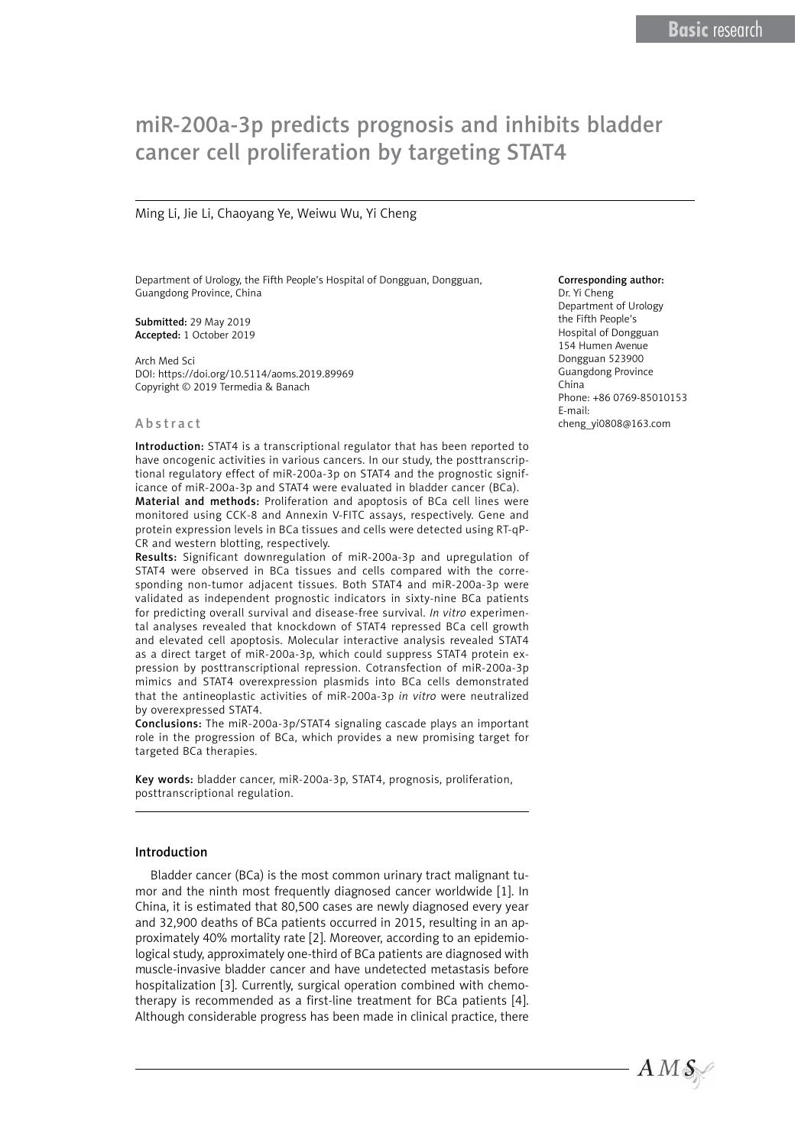# miR-200a-3p predicts prognosis and inhibits bladder cancer cell proliferation by targeting STAT4

### Ming Li, Jie Li, Chaoyang Ye, Weiwu Wu, Yi Cheng

Department of Urology, the Fifth People's Hospital of Dongguan, Dongguan, Guangdong Province, China

Submitted: 29 May 2019 Accepted: 1 October 2019

Arch Med Sci DOI: https://doi.org/10.5114/aoms.2019.89969 Copyright © 2019 Termedia & Banach

#### Abstract

Introduction: STAT4 is a transcriptional regulator that has been reported to have oncogenic activities in various cancers. In our study, the posttranscriptional regulatory effect of miR-200a-3p on STAT4 and the prognostic significance of miR-200a-3p and STAT4 were evaluated in bladder cancer (BCa). Material and methods: Proliferation and apoptosis of BCa cell lines were monitored using CCK-8 and Annexin V-FITC assays, respectively. Gene and protein expression levels in BCa tissues and cells were detected using RT-qP-CR and western blotting, respectively.

Results: Significant downregulation of miR-200a-3p and upregulation of STAT4 were observed in BCa tissues and cells compared with the corresponding non-tumor adjacent tissues. Both STAT4 and miR-200a-3p were validated as independent prognostic indicators in sixty-nine BCa patients for predicting overall survival and disease-free survival. *In vitro* experimental analyses revealed that knockdown of STAT4 repressed BCa cell growth and elevated cell apoptosis. Molecular interactive analysis revealed STAT4 as a direct target of miR-200a-3p, which could suppress STAT4 protein expression by posttranscriptional repression. Cotransfection of miR-200a-3p mimics and STAT4 overexpression plasmids into BCa cells demonstrated that the antineoplastic activities of miR-200a-3p *in vitro* were neutralized by overexpressed STAT4.

Conclusions: The miR-200a-3p/STAT4 signaling cascade plays an important role in the progression of BCa, which provides a new promising target for targeted BCa therapies.

Key words: bladder cancer, miR-200a-3p, STAT4, prognosis, proliferation, posttranscriptional regulation.

#### Introduction

Bladder cancer (BCa) is the most common urinary tract malignant tumor and the ninth most frequently diagnosed cancer worldwide [1]. In China, it is estimated that 80,500 cases are newly diagnosed every year and 32,900 deaths of BCa patients occurred in 2015, resulting in an approximately 40% mortality rate [2]. Moreover, according to an epidemiological study, approximately one-third of BCa patients are diagnosed with muscle-invasive bladder cancer and have undetected metastasis before hospitalization [3]. Currently, surgical operation combined with chemotherapy is recommended as a first-line treatment for BCa patients [4]. Although considerable progress has been made in clinical practice, there

#### Corresponding author:

Dr. Yi Cheng Department of Urology the Fifth People's Hospital of Dongguan 154 Humen Avenue Dongguan 523900 Guangdong Province China Phone: +86 0769-85010153 E-mail: [cheng\\_yi0808@163.com](mailto:cheng_yi0808@163.com)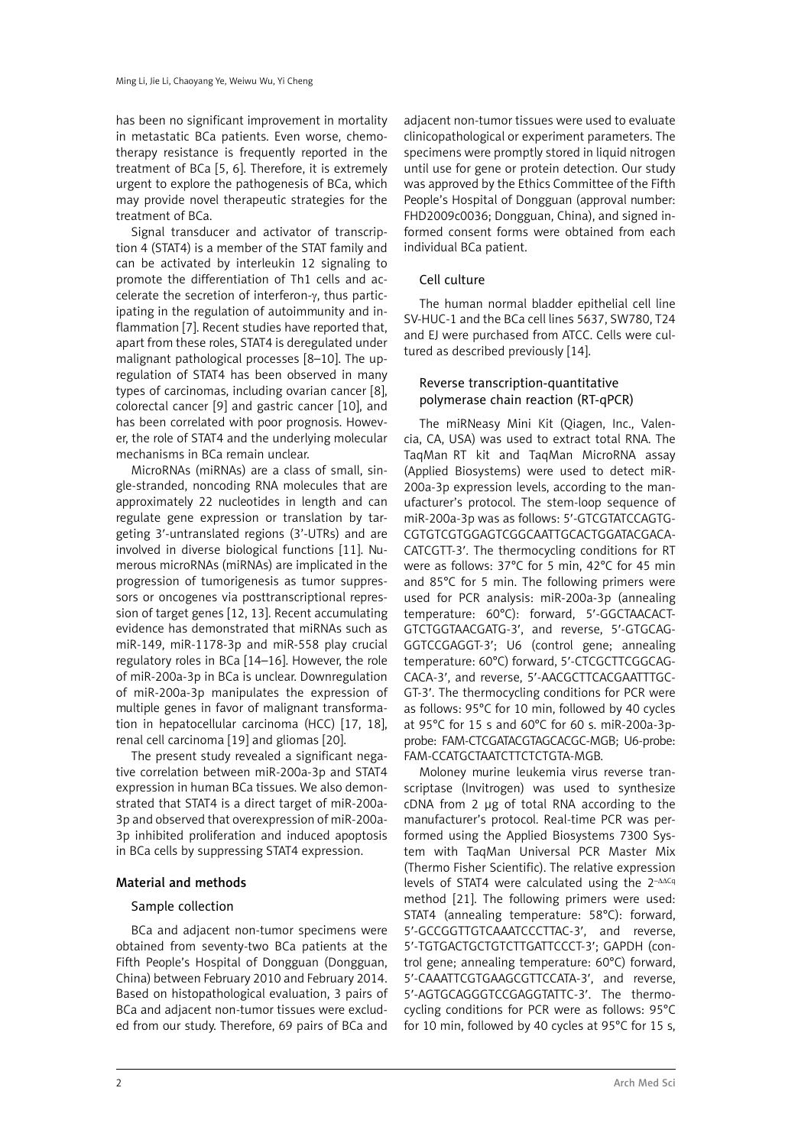has been no significant improvement in mortality in metastatic BCa patients. Even worse, chemotherapy resistance is frequently reported in the treatment of BCa [5, 6]. Therefore, it is extremely urgent to explore the pathogenesis of BCa, which may provide novel therapeutic strategies for the treatment of BCa.

Signal transducer and activator of transcription 4 (STAT4) is a member of the STAT family and can be activated by interleukin 12 signaling to promote the differentiation of Th1 cells and accelerate the secretion of interferon-γ, thus participating in the regulation of autoimmunity and inflammation [7]. Recent studies have reported that, apart from these roles, STAT4 is deregulated under malignant pathological processes [8–10]. The upregulation of STAT4 has been observed in many types of carcinomas, including ovarian cancer [8], colorectal cancer [9] and gastric cancer [10], and has been correlated with poor prognosis. However, the role of STAT4 and the underlying molecular mechanisms in BCa remain unclear.

MicroRNAs (miRNAs) are a class of small, single-stranded, noncoding RNA molecules that are approximately 22 nucleotides in length and can regulate gene expression or translation by targeting 3′-untranslated regions (3'-UTRs) and are involved in diverse biological functions [11]. Numerous microRNAs (miRNAs) are implicated in the progression of tumorigenesis as tumor suppressors or oncogenes via posttranscriptional repression of target genes [12, 13]. Recent accumulating evidence has demonstrated that miRNAs such as miR-149, miR-1178-3p and miR-558 play crucial regulatory roles in BCa [14–16]. However, the role of miR-200a-3p in BCa is unclear. Downregulation of miR-200a-3p manipulates the expression of multiple genes in favor of malignant transformation in hepatocellular carcinoma (HCC) [17, 18], renal cell carcinoma [19] and gliomas [20].

The present study revealed a significant negative correlation between miR-200a-3p and STAT4 expression in human BCa tissues. We also demonstrated that STAT4 is a direct target of miR-200a-3p and observed that overexpression of miR-200a-3p inhibited proliferation and induced apoptosis in BCa cells by suppressing STAT4 expression.

## Material and methods

## Sample collection

BCa and adjacent non-tumor specimens were obtained from seventy-two BCa patients at the Fifth People's Hospital of Dongguan (Dongguan, China) between February 2010 and February 2014. Based on histopathological evaluation, 3 pairs of BCa and adjacent non-tumor tissues were excluded from our study. Therefore, 69 pairs of BCa and

adjacent non-tumor tissues were used to evaluate clinicopathological or experiment parameters. The specimens were promptly stored in liquid nitrogen until use for gene or protein detection. Our study was approved by the Ethics Committee of the Fifth People's Hospital of Dongguan (approval number: FHD2009c0036; Dongguan, China), and signed informed consent forms were obtained from each individual BCa patient.

## Cell culture

The human normal bladder epithelial cell line SV-HUC-1 and the BCa cell lines 5637, SW780, T24 and EJ were purchased from ATCC. Cells were cultured as described previously [14].

## Reverse transcription-quantitative polymerase chain reaction (RT-qPCR)

The miRNeasy Mini Kit (Qiagen, Inc., Valencia, CA, USA) was used to extract total RNA. The TaqMan RT kit and TaqMan MicroRNA assay (Applied Biosystems) were used to detect miR-200a-3p expression levels, according to the manufacturer's protocol. The stem-loop sequence of miR-200a-3p was as follows: 5′-GTCGTATCCAGTG-CGTGTCGTGGAGTCGGCAATTGCACTGGATACGACA-CATCGTT-3′. The thermocycling conditions for RT were as follows: 37°C for 5 min, 42°C for 45 min and 85°C for 5 min. The following primers were used for PCR analysis: miR-200a-3p (annealing temperature: 60°C): forward, 5′-GGCTAACACT-GTCTGGTAACGATG-3′, and reverse, 5′-GTGCAG-GGTCCGAGGT-3′; U6 (control gene; annealing temperature: 60°C) forward, 5′-CTCGCTTCGGCAG-CACA-3′, and reverse, 5′-AACGCTTCACGAATTTGC-GT-3′. The thermocycling conditions for PCR were as follows: 95°C for 10 min, followed by 40 cycles at 95°C for 15 s and 60°C for 60 s. miR-200a-3pprobe: FAM-CTCGATACGTAGCACGC-MGB; U6-probe: FAM-CCATGCTAATCTTCTCTGTA-MGB.

Moloney murine leukemia virus reverse transcriptase (Invitrogen) was used to synthesize cDNA from 2 μg of total RNA according to the manufacturer's protocol. Real-time PCR was performed using the Applied Biosystems 7300 System with TaqMan Universal PCR Master Mix (Thermo Fisher Scientific). The relative expression levels of STAT4 were calculated using the  $2^{-\Delta\Delta Cq}$ method [21]. The following primers were used: STAT4 (annealing temperature: 58°C): forward, 5′-GCCGGTTGTCAAATCCCTTAC-3′, and reverse, 5′-TGTGACTGCTGTCTTGATTCCCT-3′; GAPDH (control gene; annealing temperature: 60°C) forward, 5′-CAAATTCGTGAAGCGTTCCATA-3′, and reverse, 5′-AGTGCAGGGTCCGAGGTATTC-3′. The thermocycling conditions for PCR were as follows: 95°C for 10 min, followed by 40 cycles at 95°C for 15 s,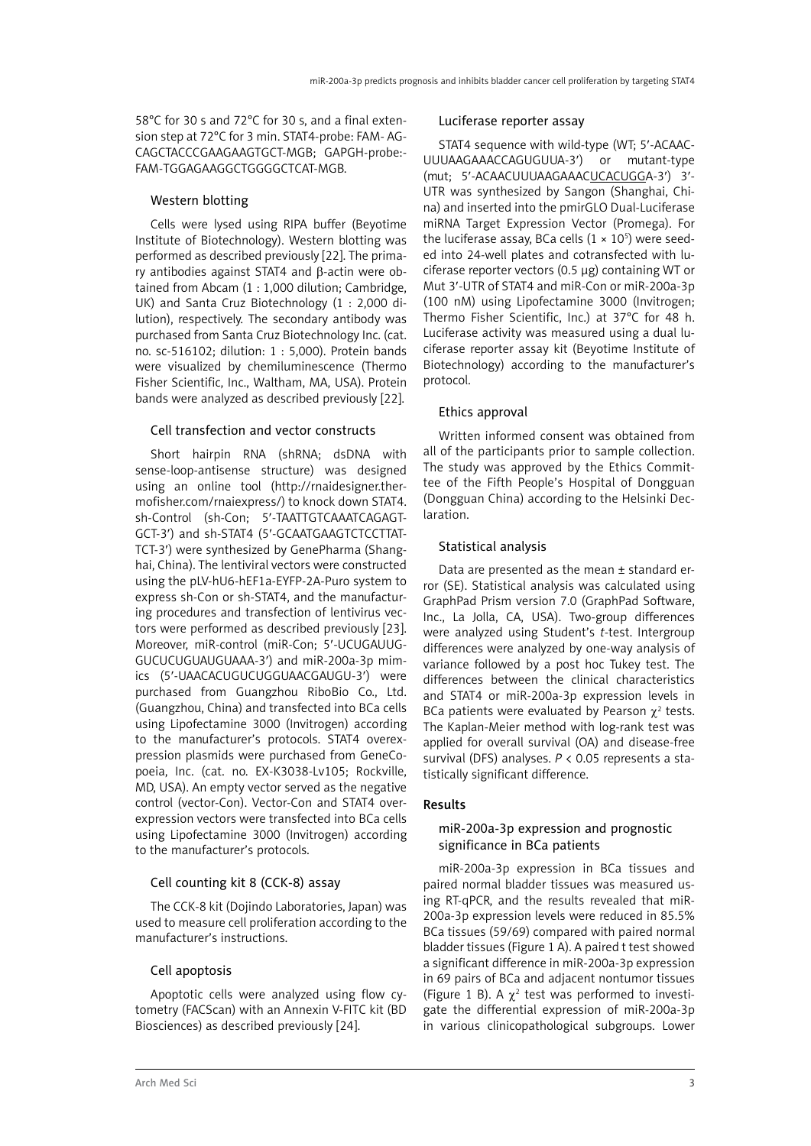58°C for 30 s and 72°C for 30 s, and a final extension step at 72°C for 3 min. STAT4-probe: FAM- AG-CAGCTACCCGAAGAAGTGCT-MGB; GAPGH-probe:- FAM-TGGAGAAGGCTGGGGCTCAT-MGB.

## Western blotting

Cells were lysed using RIPA buffer (Beyotime Institute of Biotechnology). Western blotting was performed as described previously [22]. The primary antibodies against STAT4 and β-actin were obtained from Abcam (1 : 1,000 dilution; Cambridge, UK) and Santa Cruz Biotechnology (1 : 2,000 dilution), respectively. The secondary antibody was purchased from Santa Cruz Biotechnology Inc. (cat. no. sc-516102; dilution: 1 : 5,000). Protein bands were visualized by chemiluminescence (Thermo Fisher Scientific, Inc., Waltham, MA, USA). Protein bands were analyzed as described previously [22].

## Cell transfection and vector constructs

Short hairpin RNA (shRNA; dsDNA with sense-loop-antisense structure) was designed using an online tool ([http://rnaidesigner.ther](http://rnaidesigner.thermofisher.com/rnaiexpress/)[mofisher.com/rnaiexpress/\)](http://rnaidesigner.thermofisher.com/rnaiexpress/) to knock down STAT4. sh-Control (sh-Con; 5′-TAATTGTCAAATCAGAGT-GCT-3′) and sh-STAT4 (5′-GCAATGAAGTCTCCTTAT-TCT-3′) were synthesized by GenePharma (Shanghai, China). The lentiviral vectors were constructed using the pLV-hU6-hEF1a-EYFP-2A-Puro system to express sh-Con or sh-STAT4, and the manufacturing procedures and transfection of lentivirus vectors were performed as described previously [23]. Moreover, miR-control (miR-Con; 5′-UCUGAUUG-GUCUCUGUAUGUAAA-3′) and miR-200a-3p mimics (5′-UAACACUGUCUGGUAACGAUGU-3′) were purchased from Guangzhou RiboBio Co., Ltd. (Guangzhou, China) and transfected into BCa cells using Lipofectamine 3000 (Invitrogen) according to the manufacturer's protocols. STAT4 overexpression plasmids were purchased from GeneCopoeia, Inc. (cat. no. EX-K3038-Lv105; Rockville, MD, USA). An empty vector served as the negative control (vector-Con). Vector-Con and STAT4 overexpression vectors were transfected into BCa cells using Lipofectamine 3000 (Invitrogen) according to the manufacturer's protocols.

## Cell counting kit 8 (CCK-8) assay

The CCK-8 kit (Dojindo Laboratories, Japan) was used to measure cell proliferation according to the manufacturer's instructions.

## Cell apoptosis

Apoptotic cells were analyzed using flow cytometry (FACScan) with an Annexin V-FITC kit (BD Biosciences) as described previously [24].

#### Luciferase reporter assay

STAT4 sequence with wild-type (WT; 5′-ACAAC-UUUAAGAAACCAGUGUUA-3′) or mutant-type (mut; 5′-ACAACUUUAAGAAACUCACUGGA-3′) 3′- UTR was synthesized by Sangon (Shanghai, China) and inserted into the pmirGLO Dual-Luciferase miRNA Target Expression Vector (Promega). For the luciferase assay, BCa cells  $(1 \times 10^5)$  were seeded into 24-well plates and cotransfected with luciferase reporter vectors (0.5 μg) containing WT or Mut 3′-UTR of STAT4 and miR-Con or miR-200a-3p (100 nM) using Lipofectamine 3000 (Invitrogen; Thermo Fisher Scientific, Inc.) at 37°C for 48 h. Luciferase activity was measured using a dual luciferase reporter assay kit (Beyotime Institute of Biotechnology) according to the manufacturer's protocol.

## Ethics approval

Written informed consent was obtained from all of the participants prior to sample collection. The study was approved by the Ethics Committee of the Fifth People's Hospital of Dongguan (Dongguan China) according to the Helsinki Declaration.

## Statistical analysis

Data are presented as the mean ± standard error (SE). Statistical analysis was calculated using GraphPad Prism version 7.0 (GraphPad Software, Inc., La Jolla, CA, USA). Two-group differences were analyzed using Student's *t*-test. Intergroup differences were analyzed by one-way analysis of variance followed by a post hoc Tukey test. The differences between the clinical characteristics and STAT4 or miR-200a-3p expression levels in BCa patients were evaluated by Pearson  $\chi^2$  tests. The Kaplan-Meier method with log-rank test was applied for overall survival (OA) and disease-free survival (DFS) analyses. *P* < 0.05 represents a statistically significant difference.

## Results

## miR-200a-3p expression and prognostic significance in BCa patients

miR-200a-3p expression in BCa tissues and paired normal bladder tissues was measured using RT-qPCR, and the results revealed that miR-200a-3p expression levels were reduced in 85.5% BCa tissues (59/69) compared with paired normal bladder tissues (Figure 1 A). A paired t test showed a significant difference in miR-200a-3p expression in 69 pairs of BCa and adjacent nontumor tissues (Figure 1 B). A  $\chi^2$  test was performed to investigate the differential expression of miR-200a-3p in various clinicopathological subgroups. Lower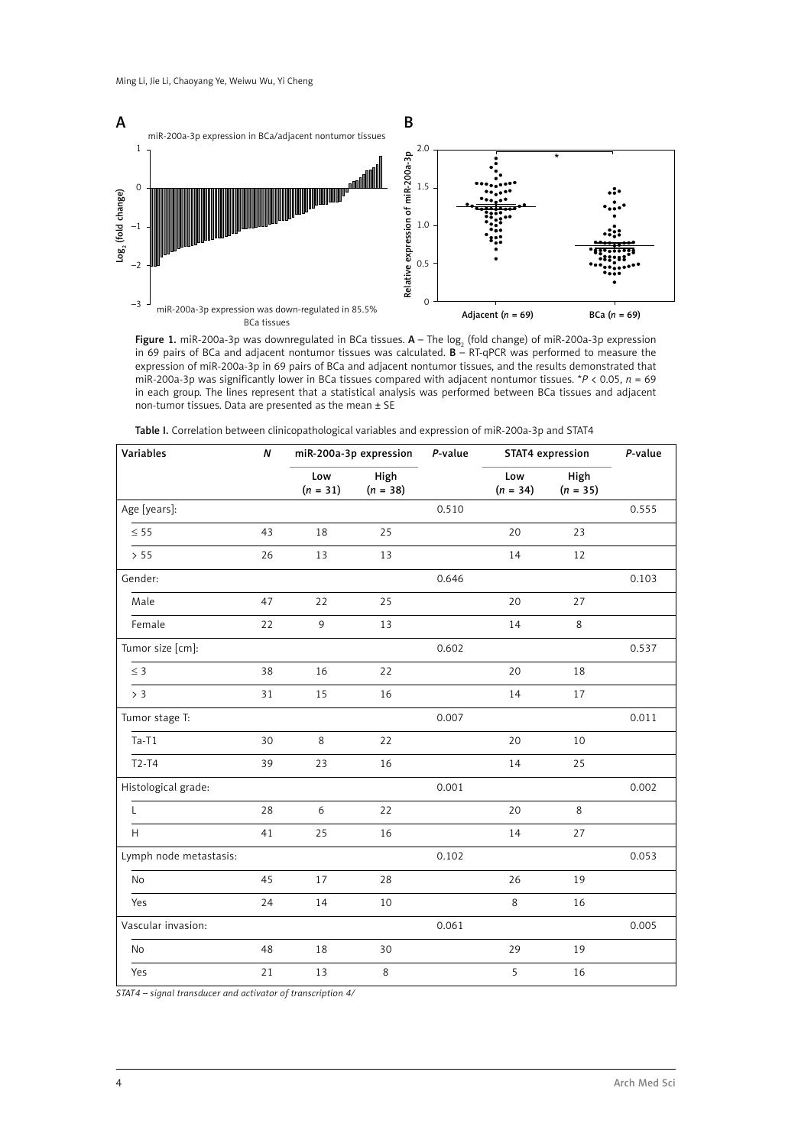

**Figure 1.** miR-200a-3p was downregulated in BCa tissues.  $\bm{A}$  – The log<sub>2</sub> (fold change) of miR-200a-3p expression in 69 pairs of BCa and adjacent nontumor tissues was calculated.  $B - RT-qPCR$  was performed to measure the expression of miR-200a-3p in 69 pairs of BCa and adjacent nontumor tissues, and the results demonstrated that miR-200a-3p was significantly lower in BCa tissues compared with adjacent nontumor tissues. \**P* < 0.05, *n* = 69 in each group. The lines represent that a statistical analysis was performed between BCa tissues and adjacent non-tumor tissues. Data are presented as the mean ± SE

| Variables              | N  | miR-200a-3p expression |                    | P-value | STAT4 expression  |                    | P-value |
|------------------------|----|------------------------|--------------------|---------|-------------------|--------------------|---------|
|                        |    | Low<br>$(n=31)$        | High<br>$(n = 38)$ |         | Low<br>$(n = 34)$ | High<br>$(n = 35)$ |         |
| Age [years]:           |    |                        |                    | 0.510   |                   |                    | 0.555   |
| $\leq$ 55              | 43 | 18                     | 25                 |         | 20                | 23                 |         |
| > 55                   | 26 | 13                     | 13                 |         | 14                | 12                 |         |
| Gender:                |    |                        |                    | 0.646   |                   |                    | 0.103   |
| Male                   | 47 | 22                     | 25                 |         | 20                | 27                 |         |
| Female                 | 22 | 9                      | 13                 |         | 14                | $\,8\,$            |         |
| Tumor size [cm]:       |    |                        |                    | 0.602   |                   |                    | 0.537   |
| $\leq$ 3               | 38 | 16                     | 22                 |         | 20                | 18                 |         |
| > 3                    | 31 | 15                     | 16                 |         | 14                | 17                 |         |
| Tumor stage T:         |    |                        |                    | 0.007   |                   |                    | 0.011   |
| $Ta-T1$                | 30 | 8                      | 22                 |         | 20                | 10                 |         |
| $T2-T4$                | 39 | 23                     | 16                 |         | 14                | 25                 |         |
| Histological grade:    |    |                        |                    | 0.001   |                   |                    | 0.002   |
| L                      | 28 | 6                      | 22                 |         | 20                | 8                  |         |
| H                      | 41 | 25                     | 16                 |         | 14                | 27                 |         |
| Lymph node metastasis: |    |                        |                    | 0.102   |                   |                    | 0.053   |
| No                     | 45 | 17                     | 28                 |         | 26                | 19                 |         |
| Yes                    | 24 | 14                     | $10\,$             |         | 8                 | 16                 |         |
| Vascular invasion:     |    |                        |                    | 0.061   |                   |                    | 0.005   |
| No                     | 48 | $18\,$                 | 30                 |         | 29                | 19                 |         |
| Yes                    | 21 | 13                     | $\,8\,$            |         | 5                 | 16                 |         |

Table I. Correlation between clinicopathological variables and expression of miR-200a-3p and STAT4

*STAT4 – signal transducer and activator of transcription 4/*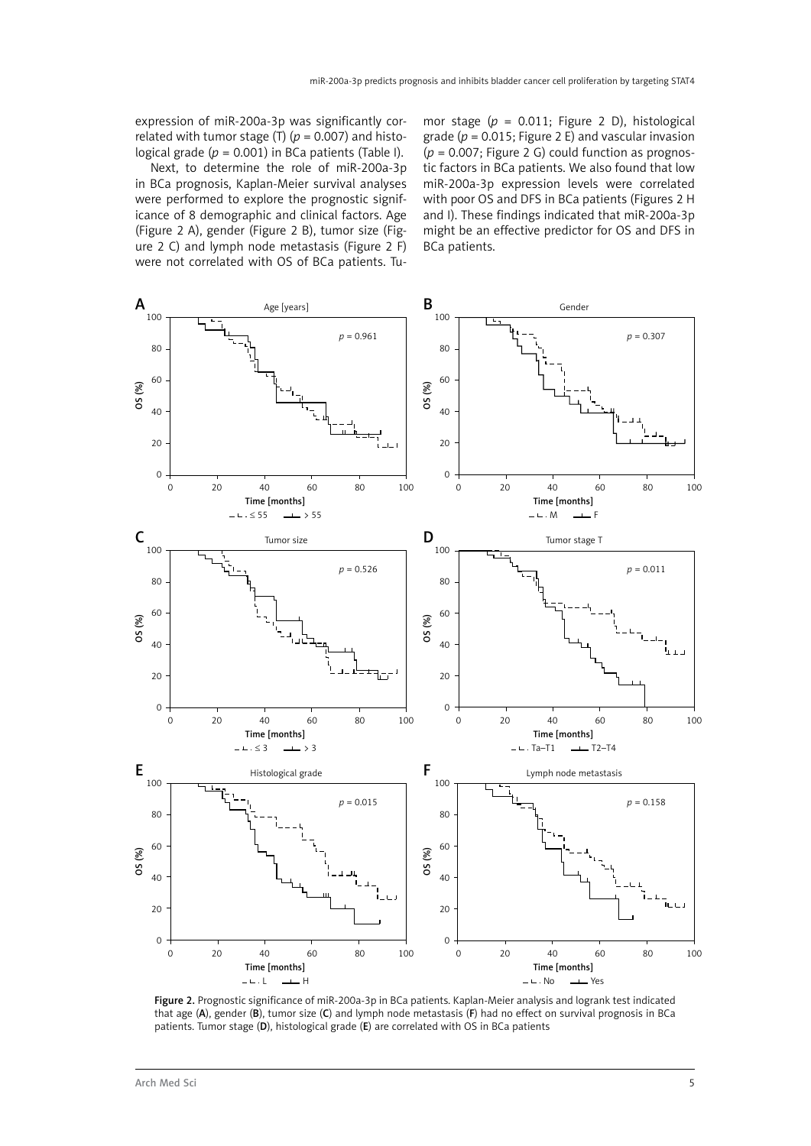expression of miR-200a-3p was significantly correlated with tumor stage (T) ( $p = 0.007$ ) and histological grade  $(p = 0.001)$  in BCa patients (Table I).

Next, to determine the role of miR-200a-3p in BCa prognosis, Kaplan-Meier survival analyses were performed to explore the prognostic significance of 8 demographic and clinical factors. Age (Figure 2 A), gender (Figure 2 B), tumor size (Figure 2 C) and lymph node metastasis (Figure 2 F) were not correlated with OS of BCa patients. Tumor stage (*p* = 0.011; Figure 2 D), histological grade ( $p = 0.015$ ; Figure 2 E) and vascular invasion (*p* = 0.007; Figure 2 G) could function as prognostic factors in BCa patients. We also found that low miR-200a-3p expression levels were correlated with poor OS and DFS in BCa patients (Figures 2 H and I). These findings indicated that miR-200a-3p might be an effective predictor for OS and DFS in BCa patients.



Figure 2. Prognostic significance of miR-200a-3p in BCa patients. Kaplan-Meier analysis and logrank test indicated that age (A), gender (B), tumor size (C) and lymph node metastasis (F) had no effect on survival prognosis in BCa patients. Tumor stage (D), histological grade (E) are correlated with OS in BCa patients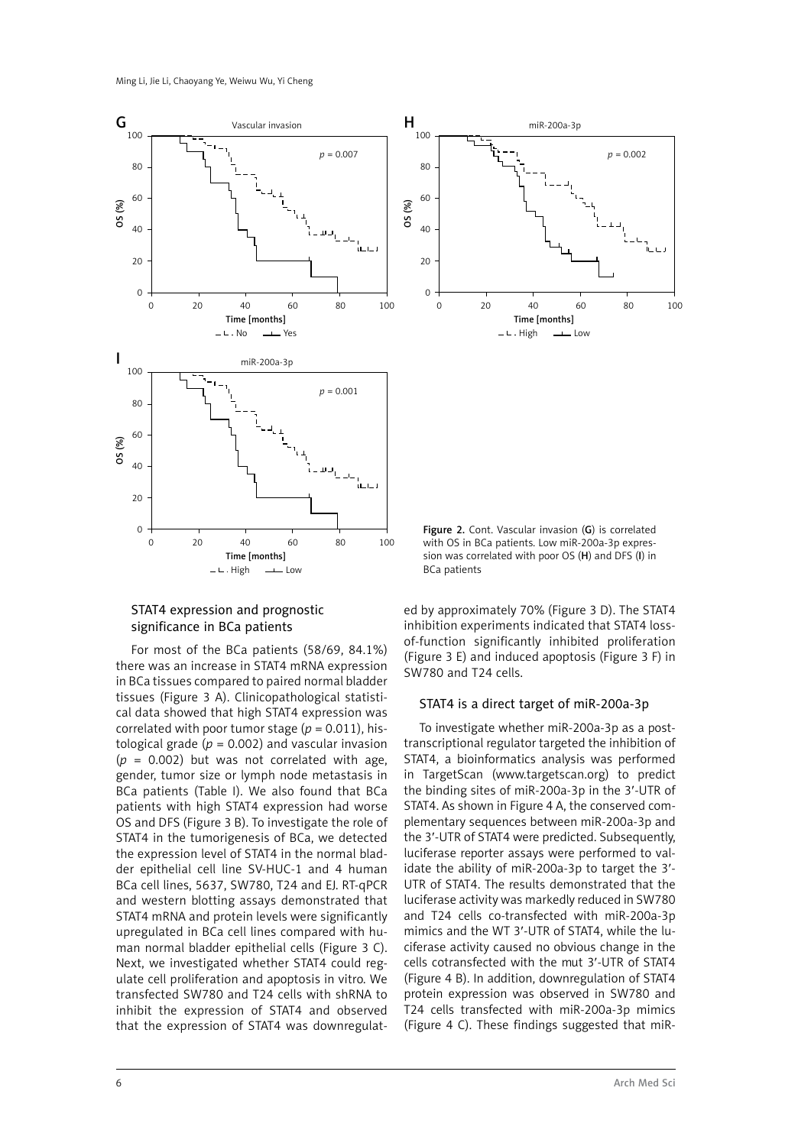



For most of the BCa patients (58/69, 84.1%) there was an increase in STAT4 mRNA expression in BCa tissues compared to paired normal bladder tissues (Figure 3 A). Clinicopathological statistical data showed that high STAT4 expression was correlated with poor tumor stage  $(p = 0.011)$ , histological grade ( $p = 0.002$ ) and vascular invasion  $(p = 0.002)$  but was not correlated with age, gender, tumor size or lymph node metastasis in BCa patients (Table I). We also found that BCa patients with high STAT4 expression had worse OS and DFS (Figure 3 B). To investigate the role of STAT4 in the tumorigenesis of BCa, we detected the expression level of STAT4 in the normal bladder epithelial cell line SV-HUC-1 and 4 human BCa cell lines, 5637, SW780, T24 and EJ. RT-qPCR and western blotting assays demonstrated that STAT4 mRNA and protein levels were significantly upregulated in BCa cell lines compared with human normal bladder epithelial cells (Figure 3 C). Next, we investigated whether STAT4 could regulate cell proliferation and apoptosis in vitro. We transfected SW780 and T24 cells with shRNA to inhibit the expression of STAT4 and observed that the expression of STAT4 was downregulat-



Figure 2. Cont. Vascular invasion (G) is correlated with OS in BCa patients. Low miR-200a-3p expression was correlated with poor OS (H) and DFS (I) in BCa patients

ed by approximately 70% (Figure 3 D). The STAT4 inhibition experiments indicated that STAT4 lossof-function significantly inhibited proliferation (Figure 3 E) and induced apoptosis (Figure 3 F) in SW780 and T24 cells.

#### STAT4 is a direct target of miR-200a-3p

To investigate whether miR-200a-3p as a posttranscriptional regulator targeted the inhibition of STAT4, a bioinformatics analysis was performed in TargetScan (www.targetscan.org) to predict the binding sites of miR-200a-3p in the 3′-UTR of STAT4. As shown in Figure 4 A, the conserved complementary sequences between miR-200a-3p and the 3′-UTR of STAT4 were predicted. Subsequently, luciferase reporter assays were performed to validate the ability of miR-200a-3p to target the 3′- UTR of STAT4. The results demonstrated that the luciferase activity was markedly reduced in SW780 and T24 cells co-transfected with miR-200a-3p mimics and the WT 3′-UTR of STAT4, while the luciferase activity caused no obvious change in the cells cotransfected with the mut 3′-UTR of STAT4 (Figure 4 B). In addition, downregulation of STAT4 protein expression was observed in SW780 and T24 cells transfected with miR-200a-3p mimics (Figure 4 C). These findings suggested that miR-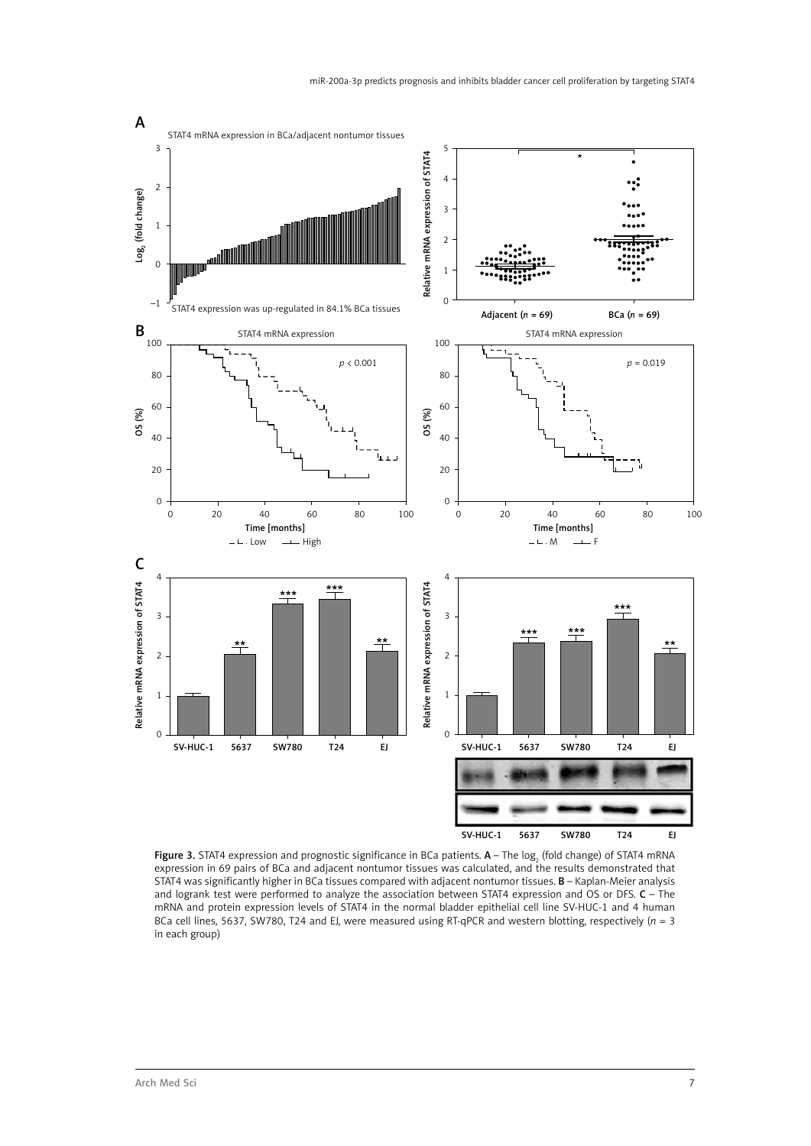

**Figure 3.** STAT4 expression and prognostic significance in BCa patients.  ${\sf A}-$  The log<sub>2</sub> (fold change) of STAT4 mRNA expression in 69 pairs of BCa and adjacent nontumor tissues was calculated, and the results demonstrated that STAT4 was significantly higher in BCa tissues compared with adjacent nontumor tissues. B – Kaplan-Meier analysis and logrank test were performed to analyze the association between STAT4 expression and OS or DFS. C – The mRNA and protein expression levels of STAT4 in the normal bladder epithelial cell line SV-HUC-1 and 4 human BCa cell lines, 5637, SW780, T24 and EJ, were measured using RT-qPCR and western blotting, respectively ( $n = 3$ ) in each group)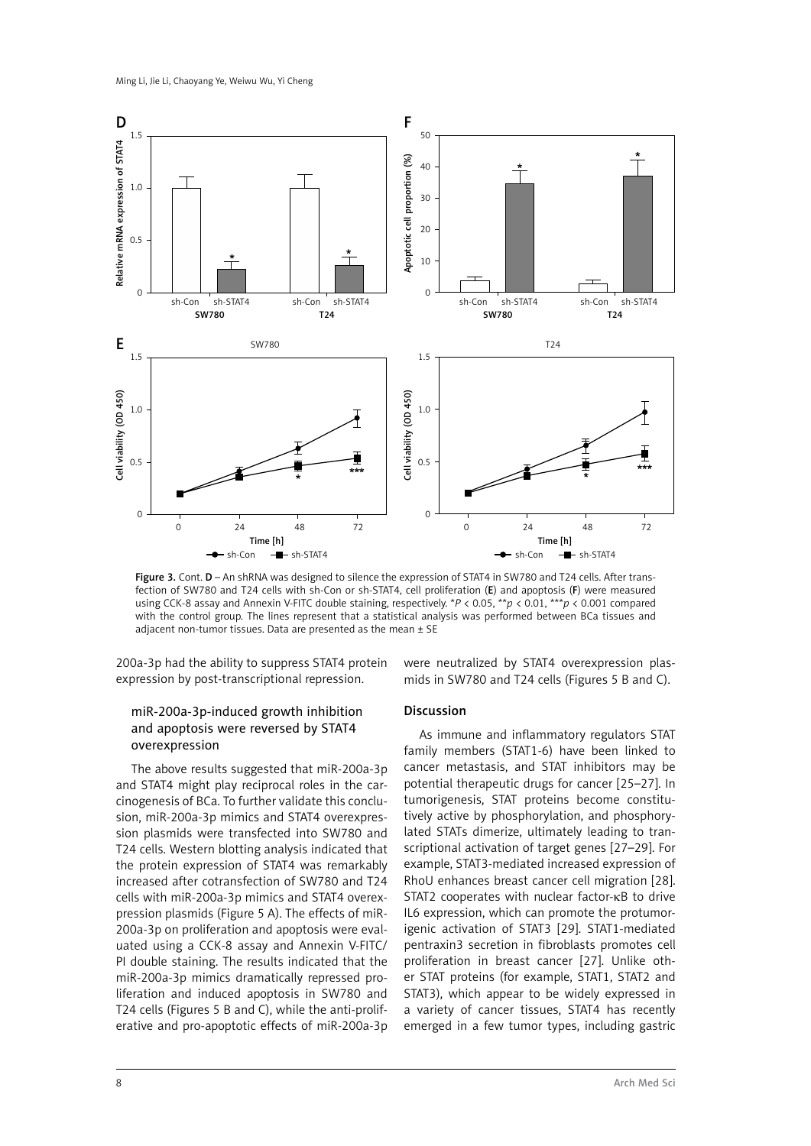

Figure 3. Cont. D – An shRNA was designed to silence the expression of STAT4 in SW780 and T24 cells. After transfection of SW780 and T24 cells with sh-Con or sh-STAT4, cell proliferation (E) and apoptosis (F) were measured using CCK-8 assay and Annexin V-FITC double staining, respectively. \**P* < 0.05, \*\**p* < 0.01, \*\*\**p* < 0.001 compared with the control group. The lines represent that a statistical analysis was performed between BCa tissues and adjacent non-tumor tissues. Data are presented as the mean  $\pm$  SE

200a-3p had the ability to suppress STAT4 protein expression by post-transcriptional repression.

## miR-200a-3p-induced growth inhibition and apoptosis were reversed by STAT4 overexpression

The above results suggested that miR-200a-3p and STAT4 might play reciprocal roles in the carcinogenesis of BCa. To further validate this conclusion, miR-200a-3p mimics and STAT4 overexpression plasmids were transfected into SW780 and T24 cells. Western blotting analysis indicated that the protein expression of STAT4 was remarkably increased after cotransfection of SW780 and T24 cells with miR-200a-3p mimics and STAT4 overexpression plasmids (Figure 5 A). The effects of miR-200a-3p on proliferation and apoptosis were evaluated using a CCK-8 assay and Annexin V-FITC/ PI double staining. The results indicated that the miR-200a-3p mimics dramatically repressed proliferation and induced apoptosis in SW780 and T24 cells (Figures 5 B and C), while the anti-proliferative and pro-apoptotic effects of miR-200a-3p were neutralized by STAT4 overexpression plasmids in SW780 and T24 cells (Figures 5 B and C).

#### Discussion

As immune and inflammatory regulators STAT family members (STAT1-6) have been linked to cancer metastasis, and STAT inhibitors may be potential therapeutic drugs for cancer [25–27]. In tumorigenesis, STAT proteins become constitutively active by phosphorylation, and phosphorylated STATs dimerize, ultimately leading to transcriptional activation of target genes [27–29]. For example, STAT3-mediated increased expression of RhoU enhances breast cancer cell migration [28]. STAT2 cooperates with nuclear factor-KB to drive IL6 expression, which can promote the protumorigenic activation of STAT3 [29]. STAT1-mediated pentraxin3 secretion in fibroblasts promotes cell proliferation in breast cancer [27]. Unlike other STAT proteins (for example, STAT1, STAT2 and STAT3), which appear to be widely expressed in a variety of cancer tissues, STAT4 has recently emerged in a few tumor types, including gastric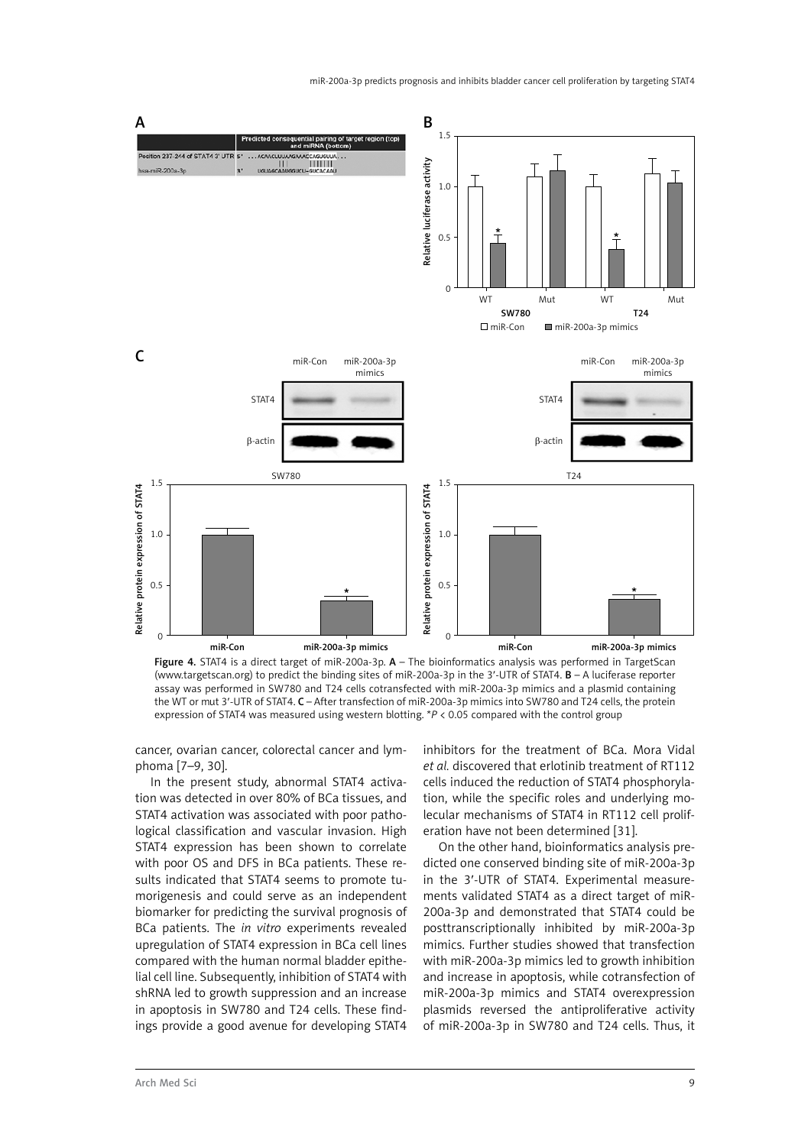

Figure 4. STAT4 is a direct target of miR-200a-3p. A - The bioinformatics analysis was performed in TargetScan (www.targetscan.org) to predict the binding sites of miR-200a-3p in the 3′-UTR of STAT4. B – A luciferase reporter assay was performed in SW780 and T24 cells cotransfected with miR-200a-3p mimics and a plasmid containing the WT or mut 3′-UTR of STAT4. C – After transfection of miR-200a-3p mimics into SW780 and T24 cells, the protein expression of STAT4 was measured using western blotting. \**P* < 0.05 compared with the control group

cancer, ovarian cancer, colorectal cancer and lymphoma [7–9, 30].

In the present study, abnormal STAT4 activation was detected in over 80% of BCa tissues, and STAT4 activation was associated with poor pathological classification and vascular invasion. High STAT4 expression has been shown to correlate with poor OS and DFS in BCa patients. These results indicated that STAT4 seems to promote tumorigenesis and could serve as an independent biomarker for predicting the survival prognosis of BCa patients. The *in vitro* experiments revealed upregulation of STAT4 expression in BCa cell lines compared with the human normal bladder epithelial cell line. Subsequently, inhibition of STAT4 with shRNA led to growth suppression and an increase in apoptosis in SW780 and T24 cells. These findings provide a good avenue for developing STAT4

inhibitors for the treatment of BCa. Mora Vidal *et al.* discovered that erlotinib treatment of RT112 cells induced the reduction of STAT4 phosphorylation, while the specific roles and underlying molecular mechanisms of STAT4 in RT112 cell proliferation have not been determined [31].

On the other hand, bioinformatics analysis predicted one conserved binding site of miR-200a-3p in the 3′-UTR of STAT4. Experimental measurements validated STAT4 as a direct target of miR-200a-3p and demonstrated that STAT4 could be posttranscriptionally inhibited by miR-200a-3p mimics. Further studies showed that transfection with miR-200a-3p mimics led to growth inhibition and increase in apoptosis, while cotransfection of miR-200a-3p mimics and STAT4 overexpression plasmids reversed the antiproliferative activity of miR-200a-3p in SW780 and T24 cells. Thus, it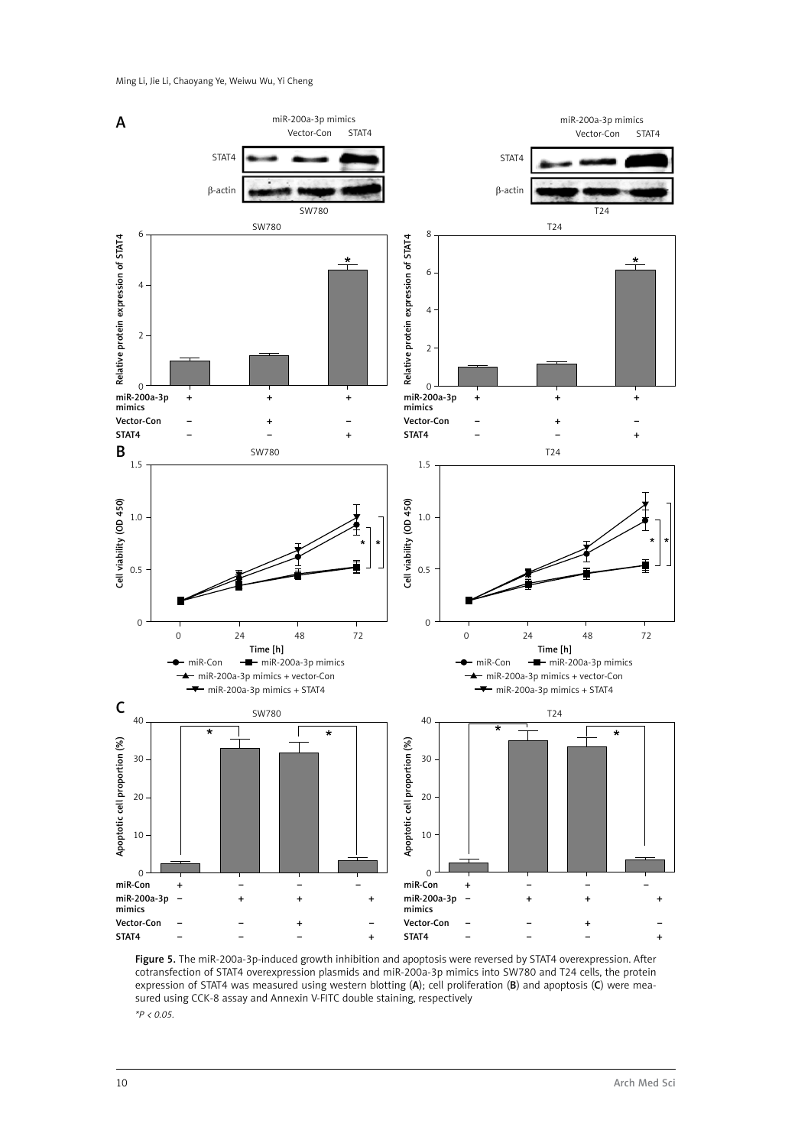

Figure 5. The miR-200a-3p-induced growth inhibition and apoptosis were reversed by STAT4 overexpression. After cotransfection of STAT4 overexpression plasmids and miR-200a-3p mimics into SW780 and T24 cells, the protein expression of STAT4 was measured using western blotting (A); cell proliferation (B) and apoptosis (C) were measured using CCK-8 assay and Annexin V-FITC double staining, respectively *\*P < 0.05.*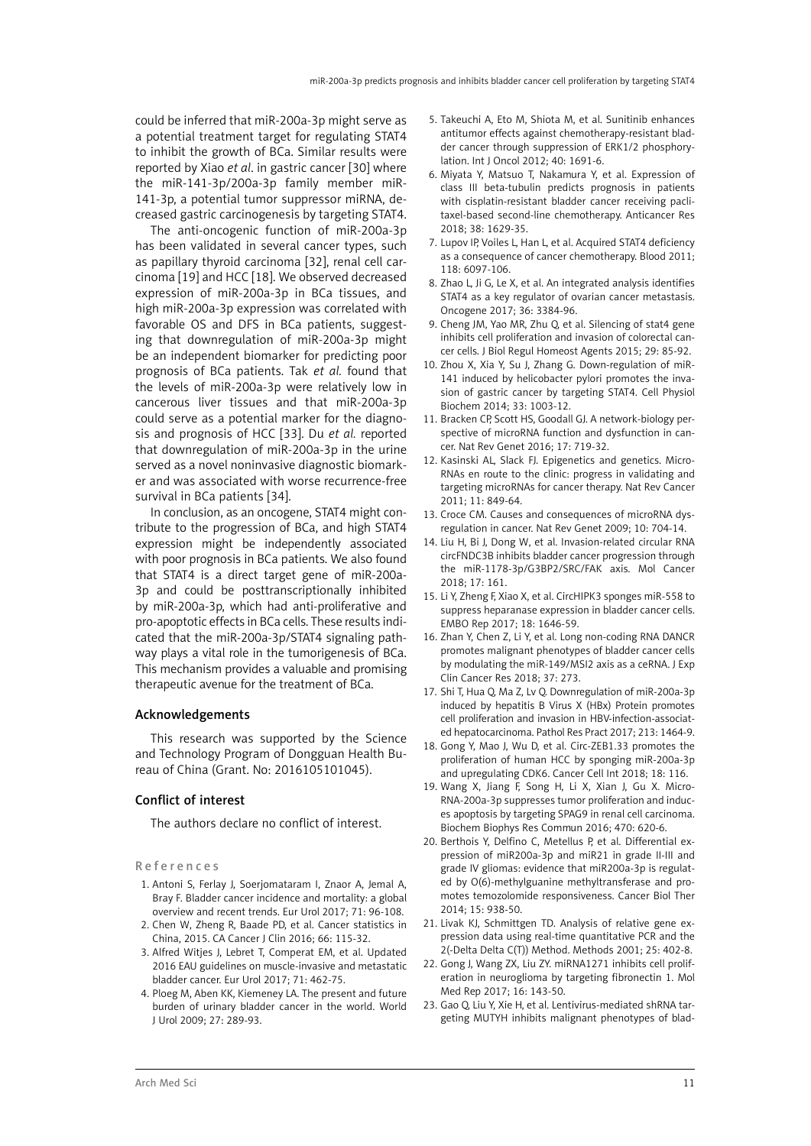could be inferred that miR-200a-3p might serve as a potential treatment target for regulating STAT4 to inhibit the growth of BCa. Similar results were reported by Xiao *et al*. in gastric cancer [30] where the miR-141-3p/200a-3p family member miR-141-3p, a potential tumor suppressor miRNA, decreased gastric carcinogenesis by targeting STAT4.

The anti-oncogenic function of miR-200a-3p has been validated in several cancer types, such as papillary thyroid carcinoma [32], renal cell carcinoma [19] and HCC [18]. We observed decreased expression of miR-200a-3p in BCa tissues, and high miR-200a-3p expression was correlated with favorable OS and DFS in BCa patients, suggesting that downregulation of miR-200a-3p might be an independent biomarker for predicting poor prognosis of BCa patients. Tak *et al.* found that the levels of miR-200a-3p were relatively low in cancerous liver tissues and that miR-200a-3p could serve as a potential marker for the diagnosis and prognosis of HCC [33]. Du *et al.* reported that downregulation of miR-200a-3p in the urine served as a novel noninvasive diagnostic biomarker and was associated with worse recurrence-free survival in BCa patients [34].

In conclusion, as an oncogene, STAT4 might contribute to the progression of BCa, and high STAT4 expression might be independently associated with poor prognosis in BCa patients. We also found that STAT4 is a direct target gene of miR-200a-3p and could be posttranscriptionally inhibited by miR-200a-3p, which had anti-proliferative and pro-apoptotic effects in BCa cells. These results indicated that the miR-200a-3p/STAT4 signaling pathway plays a vital role in the tumorigenesis of BCa. This mechanism provides a valuable and promising therapeutic avenue for the treatment of BCa.

#### Acknowledgements

This research was supported by the Science and Technology Program of Dongguan Health Bureau of China (Grant. No: 2016105101045).

#### Conflict of interest

The authors declare no conflict of interest.

#### References

- 1. Antoni S, Ferlay J, Soerjomataram I, Znaor A, Jemal A, Bray F. Bladder cancer incidence and mortality: a global overview and recent trends. Eur Urol 2017; 71: 96-108.
- 2. Chen W, Zheng R, Baade PD, et al. Cancer statistics in China, 2015. CA Cancer J Clin 2016; 66: 115-32.
- 3. Alfred Witjes J, Lebret T, Comperat EM, et al. Updated 2016 EAU guidelines on muscle-invasive and metastatic bladder cancer. Eur Urol 2017; 71: 462-75.
- 4. Ploeg M, Aben KK, Kiemeney LA. The present and future burden of urinary bladder cancer in the world. World J Urol 2009; 27: 289-93.
- 5. Takeuchi A, Eto M, Shiota M, et al. Sunitinib enhances antitumor effects against chemotherapy-resistant bladder cancer through suppression of ERK1/2 phosphorylation. Int J Oncol 2012; 40: 1691-6.
- 6. Miyata Y, Matsuo T, Nakamura Y, et al. Expression of class III beta-tubulin predicts prognosis in patients with cisplatin-resistant bladder cancer receiving paclitaxel-based second-line chemotherapy. Anticancer Res 2018; 38: 1629-35.
- 7. Lupov IP, Voiles L, Han L, et al. Acquired STAT4 deficiency as a consequence of cancer chemotherapy. Blood 2011; 118: 6097-106.
- 8. Zhao L, Ji G, Le X, et al. An integrated analysis identifies STAT4 as a key regulator of ovarian cancer metastasis. Oncogene 2017; 36: 3384-96.
- 9. Cheng JM, Yao MR, Zhu Q, et al. Silencing of stat4 gene inhibits cell proliferation and invasion of colorectal cancer cells. J Biol Regul Homeost Agents 2015; 29: 85-92.
- 10. Zhou X, Xia Y, Su J, Zhang G. Down-regulation of miR-141 induced by helicobacter pylori promotes the invasion of gastric cancer by targeting STAT4. Cell Physiol Biochem 2014; 33: 1003-12.
- 11. Bracken CP, Scott HS, Goodall GJ. A network-biology perspective of microRNA function and dysfunction in cancer. Nat Rev Genet 2016; 17: 719-32.
- 12. Kasinski AL, Slack FJ. Epigenetics and genetics. Micro-RNAs en route to the clinic: progress in validating and targeting microRNAs for cancer therapy. Nat Rev Cancer 2011; 11: 849-64.
- 13. Croce CM. Causes and consequences of microRNA dysregulation in cancer. Nat Rev Genet 2009; 10: 704-14.
- 14. Liu H, Bi J, Dong W, et al. Invasion-related circular RNA circFNDC3B inhibits bladder cancer progression through the miR-1178-3p/G3BP2/SRC/FAK axis. Mol Cancer 2018; 17: 161.
- 15. Li Y, Zheng F, Xiao X, et al. CircHIPK3 sponges miR-558 to suppress heparanase expression in bladder cancer cells. EMBO Rep 2017; 18: 1646-59.
- 16. Zhan Y, Chen Z, Li Y, et al. Long non-coding RNA DANCR promotes malignant phenotypes of bladder cancer cells by modulating the miR-149/MSI2 axis as a ceRNA. J Exp Clin Cancer Res 2018; 37: 273.
- 17. Shi T, Hua Q, Ma Z, Lv Q. Downregulation of miR-200a-3p induced by hepatitis B Virus X (HBx) Protein promotes cell proliferation and invasion in HBV-infection-associated hepatocarcinoma. Pathol Res Pract 2017; 213: 1464-9.
- 18. Gong Y, Mao J, Wu D, et al. Circ-ZEB1.33 promotes the proliferation of human HCC by sponging miR-200a-3p and upregulating CDK6. Cancer Cell Int 2018; 18: 116.
- 19. Wang X, Jiang F, Song H, Li X, Xian J, Gu X. Micro-RNA-200a-3p suppresses tumor proliferation and induces apoptosis by targeting SPAG9 in renal cell carcinoma. Biochem Biophys Res Commun 2016; 470: 620-6.
- 20. Berthois Y, Delfino C, Metellus P, et al. Differential expression of miR200a-3p and miR21 in grade II-III and grade IV gliomas: evidence that miR200a-3p is regulated by O(6)-methylguanine methyltransferase and promotes temozolomide responsiveness. Cancer Biol Ther 2014; 15: 938-50.
- 21. Livak KJ, Schmittgen TD. Analysis of relative gene expression data using real-time quantitative PCR and the 2(-Delta Delta C(T)) Method. Methods 2001; 25: 402-8.
- 22. Gong J, Wang ZX, Liu ZY. miRNA1271 inhibits cell proliferation in neuroglioma by targeting fibronectin 1. Mol Med Rep 2017; 16: 143-50.
- 23. Gao Q, Liu Y, Xie H, et al. Lentivirus-mediated shRNA targeting MUTYH inhibits malignant phenotypes of blad-